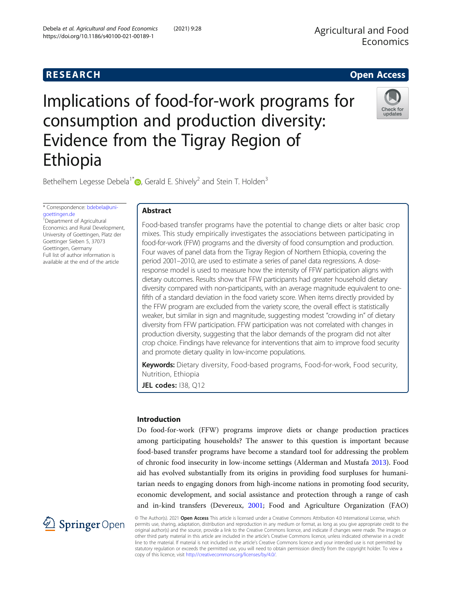# Agricultural and Food Economics



# Implications of food-for-work programs for consumption and production diversity: Evidence from the Tigray Region of Ethiopia



Bethelhem Legesse Debela<sup>1[\\*](http://orcid.org/0000-0002-3437-9915)</sup> $\bullet$ , Gerald E. Shively<sup>2</sup> and Stein T. Holden<sup>3</sup>

\* Correspondence: [bdebela@uni](mailto:bdebela@uni-goettingen.de)[goettingen.de](mailto:bdebela@uni-goettingen.de) <sup>1</sup>Department of Agricultural Economics and Rural Development, University of Goettingen, Platz der Goettinger Sieben 5, 37073 Goettingen, Germany

Full list of author information is available at the end of the article

# Abstract

Food-based transfer programs have the potential to change diets or alter basic crop mixes. This study empirically investigates the associations between participating in food-for-work (FFW) programs and the diversity of food consumption and production. Four waves of panel data from the Tigray Region of Northern Ethiopia, covering the period 2001–2010, are used to estimate a series of panel data regressions. A doseresponse model is used to measure how the intensity of FFW participation aligns with dietary outcomes. Results show that FFW participants had greater household dietary diversity compared with non-participants, with an average magnitude equivalent to onefifth of a standard deviation in the food variety score. When items directly provided by the FFW program are excluded from the variety score, the overall effect is statistically weaker, but similar in sign and magnitude, suggesting modest "crowding in" of dietary diversity from FFW participation. FFW participation was not correlated with changes in production diversity, suggesting that the labor demands of the program did not alter crop choice. Findings have relevance for interventions that aim to improve food security and promote dietary quality in low-income populations.

Keywords: Dietary diversity, Food-based programs, Food-for-work, Food security, Nutrition, Ethiopia

JEL codes: 138, Q12

# Introduction

Do food-for-work (FFW) programs improve diets or change production practices among participating households? The answer to this question is important because food-based transfer programs have become a standard tool for addressing the problem of chronic food insecurity in low-income settings (Alderman and Mustafa [2013](#page-21-0)). Food aid has evolved substantially from its origins in providing food surpluses for humanitarian needs to engaging donors from high-income nations in promoting food security, economic development, and social assistance and protection through a range of cash and in-kind transfers (Devereux, [2001;](#page-22-0) Food and Agriculture Organization (FAO)



© The Author(s). 2021 Open Access This article is licensed under a Creative Commons Attribution 4.0 International License, which permits use, sharing, adaptation, distribution and reproduction in any medium or format, as long as you give appropriate credit to the original author(s) and the source, provide a link to the Creative Commons licence, and indicate if changes were made. The images or other third party material in this article are included in the article's Creative Commons licence, unless indicated otherwise in a credit line to the material. If material is not included in the article's Creative Commons licence and your intended use is not permitted by statutory regulation or exceeds the permitted use, you will need to obtain permission directly from the copyright holder. To view a copy of this licence, visit <http://creativecommons.org/licenses/by/4.0/>.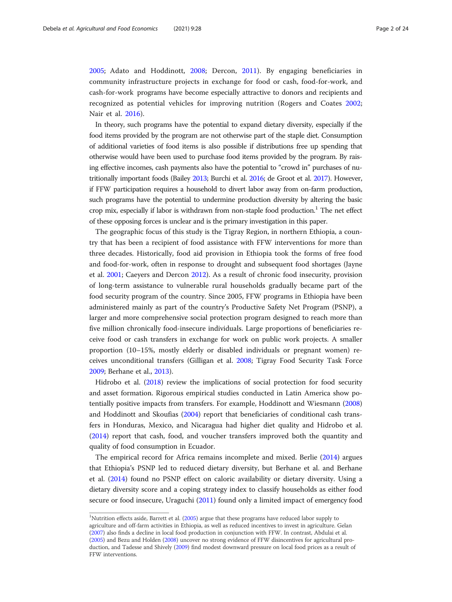[2005](#page-22-0); Adato and Hoddinott, [2008;](#page-21-0) Dercon, [2011\)](#page-22-0). By engaging beneficiaries in community infrastructure projects in exchange for food or cash, food-for-work, and cash-for-work programs have become especially attractive to donors and recipients and recognized as potential vehicles for improving nutrition (Rogers and Coates [2002](#page-22-0); Nair et al. [2016\)](#page-22-0).

In theory, such programs have the potential to expand dietary diversity, especially if the food items provided by the program are not otherwise part of the staple diet. Consumption of additional varieties of food items is also possible if distributions free up spending that otherwise would have been used to purchase food items provided by the program. By raising effective incomes, cash payments also have the potential to "crowd in" purchases of nutritionally important foods (Bailey [2013;](#page-21-0) Burchi et al. [2016;](#page-21-0) de Groot et al. [2017](#page-22-0)). However, if FFW participation requires a household to divert labor away from on-farm production, such programs have the potential to undermine production diversity by altering the basic crop mix, especially if labor is withdrawn from non-staple food production.<sup>1</sup> The net effect of these opposing forces is unclear and is the primary investigation in this paper.

The geographic focus of this study is the Tigray Region, in northern Ethiopia, a country that has been a recipient of food assistance with FFW interventions for more than three decades. Historically, food aid provision in Ethiopia took the forms of free food and food-for-work, often in response to drought and subsequent food shortages (Jayne et al. [2001](#page-22-0); Caeyers and Dercon [2012\)](#page-21-0). As a result of chronic food insecurity, provision of long-term assistance to vulnerable rural households gradually became part of the food security program of the country. Since 2005, FFW programs in Ethiopia have been administered mainly as part of the country's Productive Safety Net Program (PSNP), a larger and more comprehensive social protection program designed to reach more than five million chronically food-insecure individuals. Large proportions of beneficiaries receive food or cash transfers in exchange for work on public work projects. A smaller proportion (10–15%, mostly elderly or disabled individuals or pregnant women) receives unconditional transfers (Gilligan et al. [2008](#page-22-0); Tigray Food Security Task Force [2009](#page-22-0); Berhane et al., [2013](#page-21-0)).

Hidrobo et al. ([2018](#page-22-0)) review the implications of social protection for food security and asset formation. Rigorous empirical studies conducted in Latin America show potentially positive impacts from transfers. For example, Hoddinott and Wiesmann ([2008](#page-22-0)) and Hoddinott and Skoufias ([2004](#page-22-0)) report that beneficiaries of conditional cash transfers in Honduras, Mexico, and Nicaragua had higher diet quality and Hidrobo et al. ([2014](#page-22-0)) report that cash, food, and voucher transfers improved both the quantity and quality of food consumption in Ecuador.

The empirical record for Africa remains incomplete and mixed. Berlie [\(2014\)](#page-21-0) argues that Ethiopia's PSNP led to reduced dietary diversity, but Berhane et al. and Berhane et al. [\(2014](#page-21-0)) found no PSNP effect on caloric availability or dietary diversity. Using a dietary diversity score and a coping strategy index to classify households as either food secure or food insecure, Uraguchi ([2011](#page-22-0)) found only a limited impact of emergency food

 $^{1}$ Nutrition effects aside, Barrett et al. ([2005\)](#page-21-0) argue that these programs have reduced labor supply to agriculture and off-farm activities in Ethiopia, as well as reduced incentives to invest in agriculture. Gelan [\(2007\)](#page-22-0) also finds a decline in local food production in conjunction with FFW. In contrast, Abdulai et al. [\(2005\)](#page-21-0) and Bezu and Holden ([2008](#page-21-0)) uncover no strong evidence of FFW disincentives for agricultural production, and Tadesse and Shively ([2009](#page-22-0)) find modest downward pressure on local food prices as a result of FFW interventions.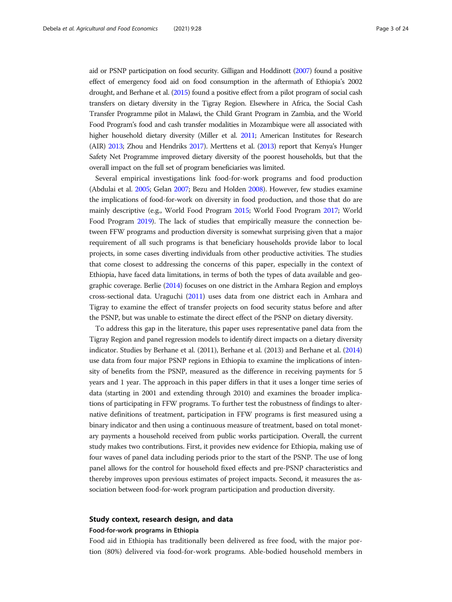aid or PSNP participation on food security. Gilligan and Hoddinott [\(2007](#page-22-0)) found a positive effect of emergency food aid on food consumption in the aftermath of Ethiopia's 2002 drought, and Berhane et al. ([2015\)](#page-21-0) found a positive effect from a pilot program of social cash transfers on dietary diversity in the Tigray Region. Elsewhere in Africa, the Social Cash Transfer Programme pilot in Malawi, the Child Grant Program in Zambia, and the World Food Program's food and cash transfer modalities in Mozambique were all associated with higher household dietary diversity (Miller et al. [2011](#page-22-0); American Institutes for Research (AIR) [2013;](#page-21-0) Zhou and Hendriks [2017\)](#page-23-0). Merttens et al. [\(2013](#page-22-0)) report that Kenya's Hunger Safety Net Programme improved dietary diversity of the poorest households, but that the overall impact on the full set of program beneficiaries was limited.

Several empirical investigations link food-for-work programs and food production (Abdulai et al. [2005](#page-21-0); Gelan [2007;](#page-22-0) Bezu and Holden [2008\)](#page-21-0). However, few studies examine the implications of food-for-work on diversity in food production, and those that do are mainly descriptive (e.g., World Food Program [2015](#page-23-0); World Food Program [2017;](#page-23-0) World Food Program [2019](#page-23-0)). The lack of studies that empirically measure the connection between FFW programs and production diversity is somewhat surprising given that a major requirement of all such programs is that beneficiary households provide labor to local projects, in some cases diverting individuals from other productive activities. The studies that come closest to addressing the concerns of this paper, especially in the context of Ethiopia, have faced data limitations, in terms of both the types of data available and geographic coverage. Berlie [\(2014](#page-21-0)) focuses on one district in the Amhara Region and employs cross-sectional data. Uraguchi [\(2011](#page-22-0)) uses data from one district each in Amhara and Tigray to examine the effect of transfer projects on food security status before and after the PSNP, but was unable to estimate the direct effect of the PSNP on dietary diversity.

To address this gap in the literature, this paper uses representative panel data from the Tigray Region and panel regression models to identify direct impacts on a dietary diversity indicator. Studies by Berhane et al. (2011), Berhane et al. (2013) and Berhane et al. [\(2014](#page-21-0)) use data from four major PSNP regions in Ethiopia to examine the implications of intensity of benefits from the PSNP, measured as the difference in receiving payments for 5 years and 1 year. The approach in this paper differs in that it uses a longer time series of data (starting in 2001 and extending through 2010) and examines the broader implications of participating in FFW programs. To further test the robustness of findings to alternative definitions of treatment, participation in FFW programs is first measured using a binary indicator and then using a continuous measure of treatment, based on total monetary payments a household received from public works participation. Overall, the current study makes two contributions. First, it provides new evidence for Ethiopia, making use of four waves of panel data including periods prior to the start of the PSNP. The use of long panel allows for the control for household fixed effects and pre-PSNP characteristics and thereby improves upon previous estimates of project impacts. Second, it measures the association between food-for-work program participation and production diversity.

### Study context, research design, and data

#### Food-for-work programs in Ethiopia

Food aid in Ethiopia has traditionally been delivered as free food, with the major portion (80%) delivered via food-for-work programs. Able-bodied household members in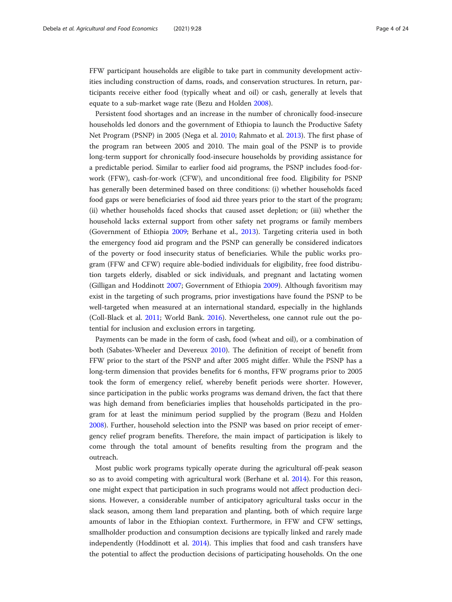FFW participant households are eligible to take part in community development activities including construction of dams, roads, and conservation structures. In return, participants receive either food (typically wheat and oil) or cash, generally at levels that equate to a sub-market wage rate (Bezu and Holden [2008](#page-21-0)).

Persistent food shortages and an increase in the number of chronically food-insecure households led donors and the government of Ethiopia to launch the Productive Safety Net Program (PSNP) in 2005 (Nega et al. [2010;](#page-22-0) Rahmato et al. [2013\)](#page-22-0). The first phase of the program ran between 2005 and 2010. The main goal of the PSNP is to provide long-term support for chronically food-insecure households by providing assistance for a predictable period. Similar to earlier food aid programs, the PSNP includes food-forwork (FFW), cash-for-work (CFW), and unconditional free food. Eligibility for PSNP has generally been determined based on three conditions: (i) whether households faced food gaps or were beneficiaries of food aid three years prior to the start of the program; (ii) whether households faced shocks that caused asset depletion; or (iii) whether the household lacks external support from other safety net programs or family members (Government of Ethiopia [2009](#page-22-0); Berhane et al., [2013](#page-21-0)). Targeting criteria used in both the emergency food aid program and the PSNP can generally be considered indicators of the poverty or food insecurity status of beneficiaries. While the public works program (FFW and CFW) require able-bodied individuals for eligibility, free food distribution targets elderly, disabled or sick individuals, and pregnant and lactating women (Gilligan and Hoddinott [2007](#page-22-0); Government of Ethiopia [2009\)](#page-22-0). Although favoritism may exist in the targeting of such programs, prior investigations have found the PSNP to be well-targeted when measured at an international standard, especially in the highlands (Coll-Black et al. [2011;](#page-22-0) World Bank. [2016\)](#page-23-0). Nevertheless, one cannot rule out the potential for inclusion and exclusion errors in targeting.

Payments can be made in the form of cash, food (wheat and oil), or a combination of both (Sabates-Wheeler and Devereux [2010](#page-22-0)). The definition of receipt of benefit from FFW prior to the start of the PSNP and after 2005 might differ. While the PSNP has a long-term dimension that provides benefits for 6 months, FFW programs prior to 2005 took the form of emergency relief, whereby benefit periods were shorter. However, since participation in the public works programs was demand driven, the fact that there was high demand from beneficiaries implies that households participated in the program for at least the minimum period supplied by the program (Bezu and Holden [2008](#page-21-0)). Further, household selection into the PSNP was based on prior receipt of emergency relief program benefits. Therefore, the main impact of participation is likely to come through the total amount of benefits resulting from the program and the outreach.

Most public work programs typically operate during the agricultural off-peak season so as to avoid competing with agricultural work (Berhane et al. [2014](#page-21-0)). For this reason, one might expect that participation in such programs would not affect production decisions. However, a considerable number of anticipatory agricultural tasks occur in the slack season, among them land preparation and planting, both of which require large amounts of labor in the Ethiopian context. Furthermore, in FFW and CFW settings, smallholder production and consumption decisions are typically linked and rarely made independently (Hoddinott et al. [2014\)](#page-22-0). This implies that food and cash transfers have the potential to affect the production decisions of participating households. On the one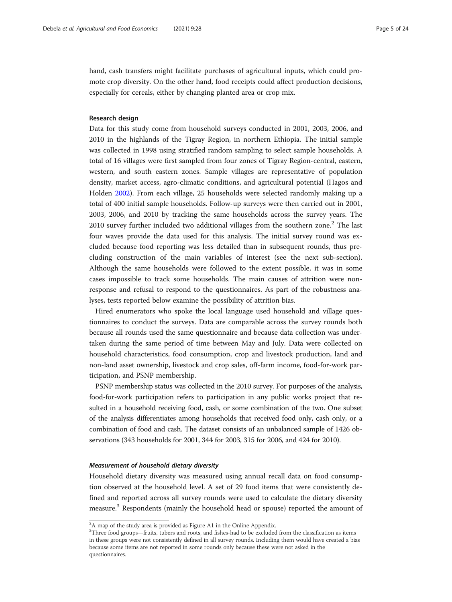hand, cash transfers might facilitate purchases of agricultural inputs, which could promote crop diversity. On the other hand, food receipts could affect production decisions, especially for cereals, either by changing planted area or crop mix.

#### Research design

Data for this study come from household surveys conducted in 2001, 2003, 2006, and 2010 in the highlands of the Tigray Region, in northern Ethiopia. The initial sample was collected in 1998 using stratified random sampling to select sample households. A total of 16 villages were first sampled from four zones of Tigray Region-central, eastern, western, and south eastern zones. Sample villages are representative of population density, market access, agro-climatic conditions, and agricultural potential (Hagos and Holden [2002](#page-22-0)). From each village, 25 households were selected randomly making up a total of 400 initial sample households. Follow-up surveys were then carried out in 2001, 2003, 2006, and 2010 by tracking the same households across the survey years. The 2010 survey further included two additional villages from the southern zone.<sup>2</sup> The last four waves provide the data used for this analysis. The initial survey round was excluded because food reporting was less detailed than in subsequent rounds, thus precluding construction of the main variables of interest (see the next sub-section). Although the same households were followed to the extent possible, it was in some cases impossible to track some households. The main causes of attrition were nonresponse and refusal to respond to the questionnaires. As part of the robustness analyses, tests reported below examine the possibility of attrition bias.

Hired enumerators who spoke the local language used household and village questionnaires to conduct the surveys. Data are comparable across the survey rounds both because all rounds used the same questionnaire and because data collection was undertaken during the same period of time between May and July. Data were collected on household characteristics, food consumption, crop and livestock production, land and non-land asset ownership, livestock and crop sales, off-farm income, food-for-work participation, and PSNP membership.

PSNP membership status was collected in the 2010 survey. For purposes of the analysis, food-for-work participation refers to participation in any public works project that resulted in a household receiving food, cash, or some combination of the two. One subset of the analysis differentiates among households that received food only, cash only, or a combination of food and cash. The dataset consists of an unbalanced sample of 1426 observations (343 households for 2001, 344 for 2003, 315 for 2006, and 424 for 2010).

#### Measurement of household dietary diversity

Household dietary diversity was measured using annual recall data on food consumption observed at the household level. A set of 29 food items that were consistently defined and reported across all survey rounds were used to calculate the dietary diversity measure.<sup>3</sup> Respondents (mainly the household head or spouse) reported the amount of

<sup>&</sup>lt;sup>2</sup>A map of the study area is provided as Figure A1 in the Online Appendix.

<sup>&</sup>lt;sup>3</sup>Three food groups—fruits, tubers and roots, and fishes-had to be excluded from the classification as items in these groups were not consistently defined in all survey rounds. Including them would have created a bias because some items are not reported in some rounds only because these were not asked in the questionnaires.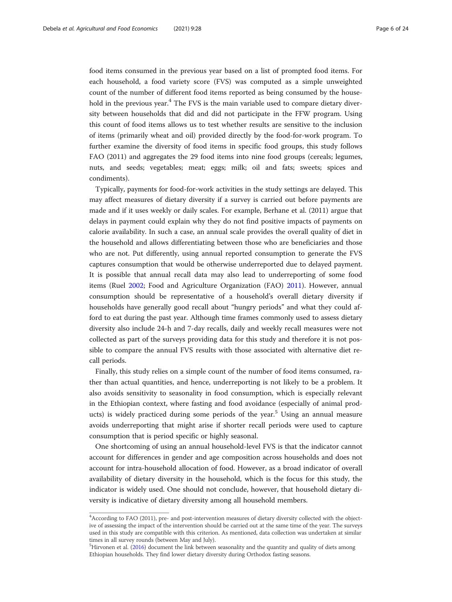food items consumed in the previous year based on a list of prompted food items. For each household, a food variety score (FVS) was computed as a simple unweighted count of the number of different food items reported as being consumed by the household in the previous year. $4$  The FVS is the main variable used to compare dietary diversity between households that did and did not participate in the FFW program. Using this count of food items allows us to test whether results are sensitive to the inclusion of items (primarily wheat and oil) provided directly by the food-for-work program. To further examine the diversity of food items in specific food groups, this study follows FAO (2011) and aggregates the 29 food items into nine food groups (cereals; legumes, nuts, and seeds; vegetables; meat; eggs; milk; oil and fats; sweets; spices and condiments).

Typically, payments for food-for-work activities in the study settings are delayed. This may affect measures of dietary diversity if a survey is carried out before payments are made and if it uses weekly or daily scales. For example, Berhane et al. (2011) argue that delays in payment could explain why they do not find positive impacts of payments on calorie availability. In such a case, an annual scale provides the overall quality of diet in the household and allows differentiating between those who are beneficiaries and those who are not. Put differently, using annual reported consumption to generate the FVS captures consumption that would be otherwise underreported due to delayed payment. It is possible that annual recall data may also lead to underreporting of some food items (Ruel [2002](#page-22-0); Food and Agriculture Organization (FAO) [2011\)](#page-22-0). However, annual consumption should be representative of a household's overall dietary diversity if households have generally good recall about "hungry periods" and what they could afford to eat during the past year. Although time frames commonly used to assess dietary diversity also include 24-h and 7-day recalls, daily and weekly recall measures were not collected as part of the surveys providing data for this study and therefore it is not possible to compare the annual FVS results with those associated with alternative diet recall periods.

Finally, this study relies on a simple count of the number of food items consumed, rather than actual quantities, and hence, underreporting is not likely to be a problem. It also avoids sensitivity to seasonality in food consumption, which is especially relevant in the Ethiopian context, where fasting and food avoidance (especially of animal products) is widely practiced during some periods of the year.<sup>5</sup> Using an annual measure avoids underreporting that might arise if shorter recall periods were used to capture consumption that is period specific or highly seasonal.

One shortcoming of using an annual household-level FVS is that the indicator cannot account for differences in gender and age composition across households and does not account for intra-household allocation of food. However, as a broad indicator of overall availability of dietary diversity in the household, which is the focus for this study, the indicator is widely used. One should not conclude, however, that household dietary diversity is indicative of dietary diversity among all household members.

<sup>&</sup>lt;sup>4</sup> According to FAO (2011), pre- and post-intervention measures of dietary diversity collected with the objective of assessing the impact of the intervention should be carried out at the same time of the year. The surveys used in this study are compatible with this criterion. As mentioned, data collection was undertaken at similar times in all survey rounds (between May and July).

<sup>&</sup>lt;sup>5</sup>Hirvonen et al. ([2016](#page-22-0)) document the link between seasonality and the quantity and quality of diets among Ethiopian households. They find lower dietary diversity during Orthodox fasting seasons.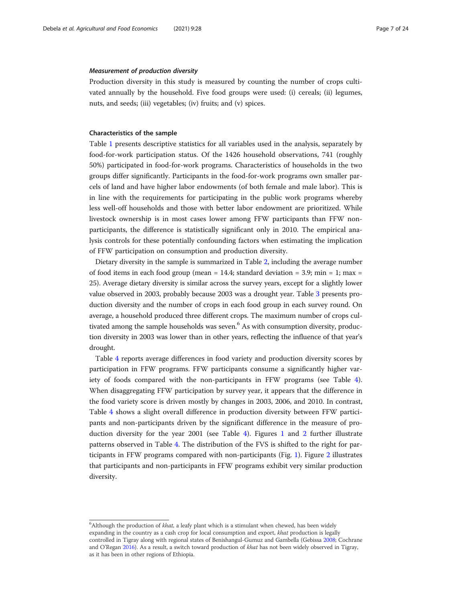#### Measurement of production diversity

Production diversity in this study is measured by counting the number of crops cultivated annually by the household. Five food groups were used: (i) cereals; (ii) legumes, nuts, and seeds; (iii) vegetables; (iv) fruits; and (v) spices.

#### Characteristics of the sample

Table [1](#page-7-0) presents descriptive statistics for all variables used in the analysis, separately by food-for-work participation status. Of the 1426 household observations, 741 (roughly 50%) participated in food-for-work programs. Characteristics of households in the two groups differ significantly. Participants in the food-for-work programs own smaller parcels of land and have higher labor endowments (of both female and male labor). This is in line with the requirements for participating in the public work programs whereby less well-off households and those with better labor endowment are prioritized. While livestock ownership is in most cases lower among FFW participants than FFW nonparticipants, the difference is statistically significant only in 2010. The empirical analysis controls for these potentially confounding factors when estimating the implication of FFW participation on consumption and production diversity.

Dietary diversity in the sample is summarized in Table [2,](#page-7-0) including the average number of food items in each food group (mean = 14.4; standard deviation = 3.9; min = 1; max = 25). Average dietary diversity is similar across the survey years, except for a slightly lower value observed in 2003, probably because 2003 was a drought year. Table [3](#page-8-0) presents production diversity and the number of crops in each food group in each survey round. On average, a household produced three different crops. The maximum number of crops cultivated among the sample households was seven.<sup>6</sup> As with consumption diversity, production diversity in 2003 was lower than in other years, reflecting the influence of that year's drought.

Table [4](#page-9-0) reports average differences in food variety and production diversity scores by participation in FFW programs. FFW participants consume a significantly higher variety of foods compared with the non-participants in FFW programs (see Table [4](#page-9-0)). When disaggregating FFW participation by survey year, it appears that the difference in the food variety score is driven mostly by changes in 2003, 2006, and 2010. In contrast, Table [4](#page-9-0) shows a slight overall difference in production diversity between FFW participants and non-participants driven by the significant difference in the measure of production diversity for the year 2001 (see Table [4\)](#page-9-0). Figures [1](#page-9-0) and [2](#page-10-0) further illustrate patterns observed in Table [4.](#page-9-0) The distribution of the FVS is shifted to the right for participants in FFW programs compared with non-participants (Fig. [1\)](#page-9-0). Figure [2](#page-10-0) illustrates that participants and non-participants in FFW programs exhibit very similar production diversity.

 $6$ Although the production of *khat*, a leafy plant which is a stimulant when chewed, has been widely expanding in the country as a cash crop for local consumption and export, khat production is legally controlled in Tigray along with regional states of Benishangul-Gumuz and Gambella (Gebissa [2008;](#page-22-0) Cochrane and O'Regan [2016\)](#page-21-0). As a result, a switch toward production of khat has not been widely observed in Tigray, as it has been in other regions of Ethiopia.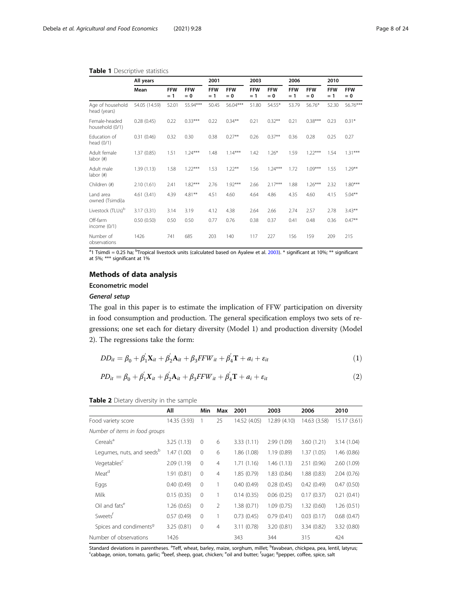#### <span id="page-7-0"></span>Table 1 Descriptive statistics

|                                  | All years     |                     |                     | 2001                |                     | 2003                |                     | 2006                |                     | 2010                |                     |
|----------------------------------|---------------|---------------------|---------------------|---------------------|---------------------|---------------------|---------------------|---------------------|---------------------|---------------------|---------------------|
|                                  | Mean          | <b>FFW</b><br>$= 1$ | <b>FFW</b><br>$= 0$ | <b>FFW</b><br>$= 1$ | <b>FFW</b><br>$= 0$ | <b>FFW</b><br>$= 1$ | <b>FFW</b><br>$= 0$ | <b>FFW</b><br>$= 1$ | <b>FFW</b><br>$= 0$ | <b>FFW</b><br>$= 1$ | <b>FFW</b><br>$= 0$ |
| Age of household<br>head (years) | 54.05 (14.59) | 52.01               | 55.94***            | 50.45               | 56.04***            | 51.80               | 54.55*              | 53.79               | 56.76*              | 52.30               | 56.76***            |
| Female-headed<br>household (0/1) | 0.28(0.45)    | 0.22                | $0.33***$           | 0.22                | $0.34**$            | 0.21                | $0.32***$           | 0.21                | $0.38***$           | 0.23                | $0.31*$             |
| Education of<br>head (0/1)       | 0.31(0.46)    | 0.32                | 0.30                | 0.38                | $0.27**$            | 0.26                | $0.37**$            | 0.36                | 0.28                | 0.25                | 0.27                |
| Adult female<br>labor (#)        | 1.37(0.85)    | 1.51                | $1.24***$           | 1.48                | $1.14***$           | 1.42                | $1.26*$             | 1.59                | $1.22***$           | 1.54                | $1.31***$           |
| Adult male<br>labor (#)          | 1.39(1.13)    | 1.58                | $1.22***$           | 1.53                | $1.22***$           | 1.56                | $1.24***$           | 1.72                | $1.09***$           | 1.55                | $1.29**$            |
| Children (#)                     | 2.10(1.61)    | 2.41                | $1.82***$           | 2.76                | $1.92***$           | 2.66                | $2.17***$           | 1.88                | $1.26***$           | 2.32                | $1.80***$           |
| Land area<br>owned (Tsimdi)a     | 4.61(3.41)    | 4.39                | $4.81***$           | 4.51                | 4.60                | 4.64                | 4.86                | 4.35                | 4.60                | 4.15                | $5.04***$           |
| Livestock (TLUs) <sup>b</sup>    | 3.17 (3.31)   | 3.14                | 3.19                | 4.12                | 4.38                | 2.64                | 2.66                | 2.74                | 2.57                | 2.78                | $3.43**$            |
| Off-farm<br>income $(0/1)$       | 0.50(0.50)    | 0.50                | 0.50                | 0.77                | 0.76                | 0.38                | 0.37                | 0.41                | 0.48                | 0.36                | $0.47***$           |
| Number of<br>observations        | 1426          | 741                 | 685                 | 203                 | 140                 | 117                 | 227                 | 156                 | 159                 | 209                 | 215                 |

<sup>a</sup>1 Tsimdi = 0.25 ha; <sup>b</sup>Tropical livestock units (calculated based on Ayalew et al. [2003](#page-21-0)). \* significant at 10%; \*\* significant at 5%; \*\*\* significant at 1%

# Methods of data analysis

# Econometric model

## General setup

The goal in this paper is to estimate the implication of FFW participation on diversity in food consumption and production. The general specification employs two sets of regressions; one set each for dietary diversity (Model 1) and production diversity (Model 2). The regressions take the form:

$$
DD_{it} = \beta_0 + \beta_1' \mathbf{X}_{it} + \beta_2' \mathbf{A}_{it} + \beta_3 FFW_{it} + \beta_4' \mathbf{T} + a_i + \varepsilon_{it}
$$
\n(1)

$$
PD_{it} = \beta_0 + \beta_1' X_{it} + \beta_2' \mathbf{A}_{it} + \beta_3 FFW_{it} + \beta_4' \mathbf{T} + a_i + \varepsilon_{it}
$$
\n<sup>(2)</sup>

#### Table 2 Dietary diversity in the sample

|                                       | All          | Min          | Max            | 2001         | 2003         | 2006         | 2010        |
|---------------------------------------|--------------|--------------|----------------|--------------|--------------|--------------|-------------|
| Food variety score                    | 14.35 (3.93) | -1           | 25             | 14.52 (4.05) | 12.89 (4.10) | 14.63 (3.58) | 15.17(3.61) |
| Number of items in food groups        |              |              |                |              |              |              |             |
| Cereals <sup>a</sup>                  | 3.25(1.13)   | $\mathbf{0}$ | 6              | 3.33(1.11)   | 2.99 (1.09)  | 3.60(1.21)   | 3.14(1.04)  |
| Legumes, nuts, and seeds <sup>b</sup> | 1.47(1.00)   | $\mathbf{0}$ | 6              | 1.86 (1.08)  | 1.19(0.89)   | 1.37(1.05)   | 1.46(0.86)  |
| Vegetables <sup>c</sup>               | 2.09(1.19)   | $\mathbf{0}$ | $\overline{4}$ | 1.71(1.16)   | 1.46(1.13)   | 2.51(0.96)   | 2.60(1.09)  |
| Meat <sup>d</sup>                     | 1.91(0.81)   | $\mathbf{0}$ | $\overline{4}$ | 1.85(0.79)   | 1.83(0.84)   | 1.88(0.83)   | 2.04(0.76)  |
| Eggs                                  | 0.40(0.49)   | $\circ$      |                | 0.40(0.49)   | 0.28(0.45)   | 0.42(0.49)   | 0.47(0.50)  |
| Milk                                  | 0.15(0.35)   | $\mathbf 0$  |                | 0.14(0.35)   | 0.06(0.25)   | 0.17(0.37)   | 0.21(0.41)  |
| Oil and fats <sup>e</sup>             | 1.26(0.65)   | $\mathbf 0$  | $\mathfrak{D}$ | 1.38(0.71)   | 1.09(0.75)   | 1.32(0.60)   | 1.26(0.51)  |
| Sweets <sup>t</sup>                   | 0.57(0.49)   | $\mathbf 0$  |                | 0.73(0.45)   | 0.79(0.41)   | 0.03(0.17)   | 0.68(0.47)  |
| Spices and condiments <sup>9</sup>    | 3.25(0.81)   | $\mathbf{0}$ | $\overline{4}$ | 3.11 (0.78)  | 3.20(0.81)   | 3.34(0.82)   | 3.32 (0.80) |
| Number of observations                | 1426         |              |                | 343          | 344          | 315          | 424         |

Standard deviations in parentheses. <sup>a</sup>Teff, wheat, barley, maize, sorghum, millet; <sup>b</sup>favabean, chickpea, pea, lentil, latyrus;<br>Scabbage, opion, tomato, garlic: <sup>d</sup>heef, sheen, goat, chicken: <sup>e</sup>oil and butter: <sup>f</sup>sugar: cabbage, onion, tomato, garlic; <sup>d</sup>beef, sheep, goat, chicken; <sup>e</sup>oil and butter; <sup>f</sup>sugar; <sup>g</sup>pepper, coffee, spice, salt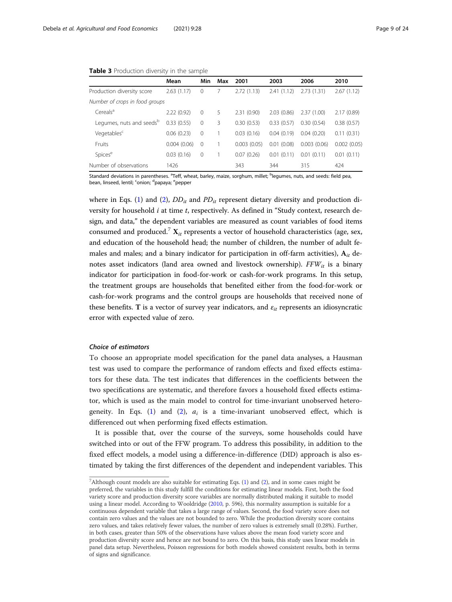#### <span id="page-8-0"></span>Table 3 Production diversity in the sample

|                                      | Mean        | Min            | Max | 2001        | 2003       | 2006        | 2010        |
|--------------------------------------|-------------|----------------|-----|-------------|------------|-------------|-------------|
| Production diversity score           | 2.63(1.17)  | $\Omega$       |     | 2.72(1.13)  | 2.41(1.12) | 2.73(1.31)  | 2.67(1.12)  |
| Number of crops in food groups       |             |                |     |             |            |             |             |
| Cereals <sup>a</sup>                 | 2.22(0.92)  | $\Omega$       | 5   | 2.31(0.90)  | 2.03(0.86) | 2.37(1.00)  | 2.17(0.89)  |
| Legumes, nuts and seeds <sup>b</sup> | 0.33(0.55)  | $\overline{0}$ | 3   | 0.30(0.53)  | 0.33(0.57) | 0.30(0.54)  | 0.38(0.57)  |
| Vegetables <sup>c</sup>              | 0.06(0.23)  | $\overline{0}$ |     | 0.03(0.16)  | 0.04(0.19) | 0.04(0.20)  | 0.11(0.31)  |
| <b>Fruits</b>                        | 0.004(0.06) | $\Omega$       |     | 0.003(0.05) | 0.01(0.08) | 0.003(0.06) | 0.002(0.05) |
| Spices <sup>e</sup>                  | 0.03(0.16)  | $\mathbf 0$    |     | 0.07(0.26)  | 0.01(0.11) | 0.01(0.11)  | 0.01(0.11)  |
| Number of observations               | 1426        |                |     | 343         | 344        | 315         | 424         |

Standard deviations in parentheses. <sup>a</sup>Teff, wheat, barley, maize, sorghum, millet; <sup>b</sup>legumes, nuts, and seeds: field pea, bean, linseed, lentil; <sup>c</sup>onion; <sup>d</sup>papaya; <sup>e</sup>pepper

where in Eqs. ([1](#page-7-0)) and ([2\)](#page-7-0),  $DD_{it}$  and  $PD_{it}$  represent dietary diversity and production diversity for household i at time t, respectively. As defined in "Study context, research design, and data," the dependent variables are measured as count variables of food items consumed and produced.<sup>7</sup>  $X_{it}$  represents a vector of household characteristics (age, sex, and education of the household head; the number of children, the number of adult females and males; and a binary indicator for participation in off-farm activities),  $A_{it}$  denotes asset indicators (land area owned and livestock ownership).  $FFW_{it}$  is a binary indicator for participation in food-for-work or cash-for-work programs. In this setup, the treatment groups are households that benefited either from the food-for-work or cash-for-work programs and the control groups are households that received none of these benefits. T is a vector of survey year indicators, and  $\varepsilon_{it}$  represents an idiosyncratic error with expected value of zero.

#### Choice of estimators

To choose an appropriate model specification for the panel data analyses, a Hausman test was used to compare the performance of random effects and fixed effects estimators for these data. The test indicates that differences in the coefficients between the two specifications are systematic, and therefore favors a household fixed effects estimator, which is used as the main model to control for time-invariant unobserved hetero-geneity. In Eqs. [\(1](#page-7-0)) and ([2\)](#page-7-0),  $a_i$  is a time-invariant unobserved effect, which is differenced out when performing fixed effects estimation.

It is possible that, over the course of the surveys, some households could have switched into or out of the FFW program. To address this possibility, in addition to the fixed effect models, a model using a difference-in-difference (DID) approach is also estimated by taking the first differences of the dependent and independent variables. This

<sup>&</sup>lt;sup>7</sup> Although count models are also suitable for estimating Eqs.  $(1)$  $(1)$  and  $(2)$ , and in some cases might be preferred, the variables in this study fulfill the conditions for estimating linear models. First, both the food variety score and production diversity score variables are normally distributed making it suitable to model using a linear model. According to Wooldridge [\(2010,](#page-22-0) p. 596), this normality assumption is suitable for a continuous dependent variable that takes a large range of values. Second, the food variety score does not contain zero values and the values are not bounded to zero. While the production diversity score contains zero values, and takes relatively fewer values, the number of zero values is extremely small (0.28%). Further, in both cases, greater than 50% of the observations have values above the mean food variety score and production diversity score and hence are not bound to zero. On this basis, this study uses linear models in panel data setup. Nevertheless, Poisson regressions for both models showed consistent results, both in terms of signs and significance.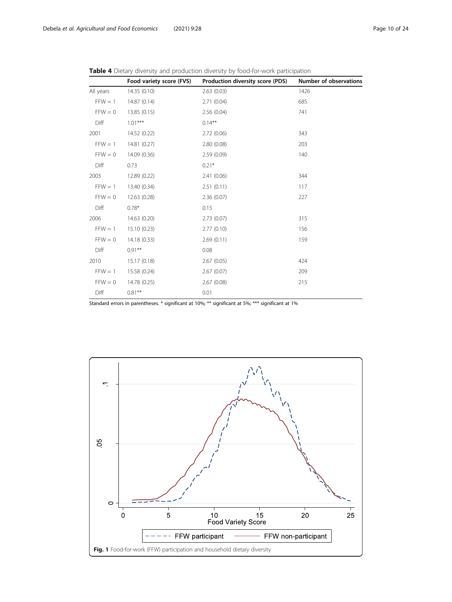|           | Food variety score (FVS) | Production diversity score (PDS) | Number of observations |
|-----------|--------------------------|----------------------------------|------------------------|
| All years | 14.35 (0.10)             | 2.63(0.03)                       | 1426                   |
| $FFW = 1$ | 14.87 (0.14)             | 2.71(0.04)                       | 685                    |
| $FFW = 0$ | 13.85 (0.15)             | 2.56(0.04)                       | 741                    |
| Diff      | $1.01***$                | $0.14***$                        |                        |
| 2001      | 14.52 (0.22)             | 2.72(0.06)                       | 343                    |
| $FFW = 1$ | 14.81 (0.27)             | 2.80(0.08)                       | 203                    |
| $FFW = 0$ | 14.09 (0.36)             | 2.59(0.09)                       | 140                    |
| Diff      | 0.73                     | $0.21*$                          |                        |
| 2003      | 12.89 (0.22)             | 2.41(0.06)                       | 344                    |
| $FFW = 1$ | 13.40 (0.34)             | 2.51(0.11)                       | 117                    |
| $FFW = 0$ | 12.63 (0.28)             | 2.36(0.07)                       | 227                    |
| Diff      | $0.78*$                  | 0.15                             |                        |
| 2006      | 14.63 (0.20)             | 2.73(0.07)                       | 315                    |
| $FFW = 1$ | 15.10 (0.23)             | 2.77(0.10)                       | 156                    |
| $FFW = 0$ | 14.18 (0.33)             | 2.69(0.11)                       | 159                    |
| Diff      | $0.91***$                | 0.08                             |                        |
| 2010      | 15.17 (0.18)             | 2.67(0.05)                       | 424                    |
| $FFW = 1$ | 15.58 (0.24)             | 2.67(0.07)                       | 209                    |
| $FFW = 0$ | 14.78 (0.25)             | 2.67(0.08)                       | 215                    |
| Diff      | $0.81***$                | 0.01                             |                        |

<span id="page-9-0"></span>

|  |  |  |  |  |  |  | <b>Table 4</b> Dietary diversity and production diversity by food-for-work participation |  |  |  |  |  |  |  |
|--|--|--|--|--|--|--|------------------------------------------------------------------------------------------|--|--|--|--|--|--|--|
|--|--|--|--|--|--|--|------------------------------------------------------------------------------------------|--|--|--|--|--|--|--|

Standard errors in parentheses. \* significant at 10%; \*\* significant at 5%; \*\*\* significant at 1%

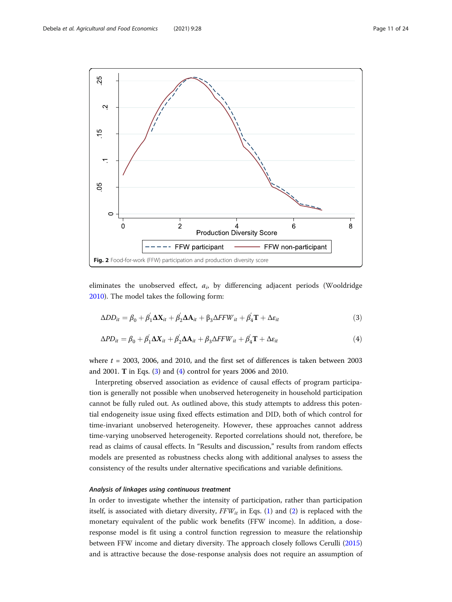<span id="page-10-0"></span>

eliminates the unobserved effect,  $a_i$ , by differencing adjacent periods (Wooldridge [2010](#page-23-0)). The model takes the following form:

$$
\Delta DD_{it} = \beta_0 + \beta_1' \Delta \mathbf{X}_{it} + \beta_2' \Delta \mathbf{A}_{it} + \beta_3 \Delta FFW_{it} + \beta_4' \mathbf{T} + \Delta \varepsilon_{it}
$$
\n(3)

$$
\Delta PD_{it} = \beta_0 + \beta_1' \Delta X_{it} + \beta_2' \Delta A_{it} + \beta_3 \Delta FFW_{it} + \beta_4' \mathbf{T} + \Delta \varepsilon_{it}
$$
\n(4)

where  $t = 2003$ , 2006, and 2010, and the first set of differences is taken between 2003 and 2001. T in Eqs. (3) and (4) control for years 2006 and 2010.

Interpreting observed association as evidence of causal effects of program participation is generally not possible when unobserved heterogeneity in household participation cannot be fully ruled out. As outlined above, this study attempts to address this potential endogeneity issue using fixed effects estimation and DID, both of which control for time-invariant unobserved heterogeneity. However, these approaches cannot address time-varying unobserved heterogeneity. Reported correlations should not, therefore, be read as claims of causal effects. In "Results and discussion," results from random effects models are presented as robustness checks along with additional analyses to assess the consistency of the results under alternative specifications and variable definitions.

#### Analysis of linkages using continuous treatment

In order to investigate whether the intensity of participation, rather than participation itself, is associated with dietary diversity,  $FFW_{it}$  in Eqs. [\(1](#page-7-0)) and ([2](#page-7-0)) is replaced with the monetary equivalent of the public work benefits (FFW income). In addition, a doseresponse model is fit using a control function regression to measure the relationship between FFW income and dietary diversity. The approach closely follows Cerulli ([2015](#page-21-0)) and is attractive because the dose-response analysis does not require an assumption of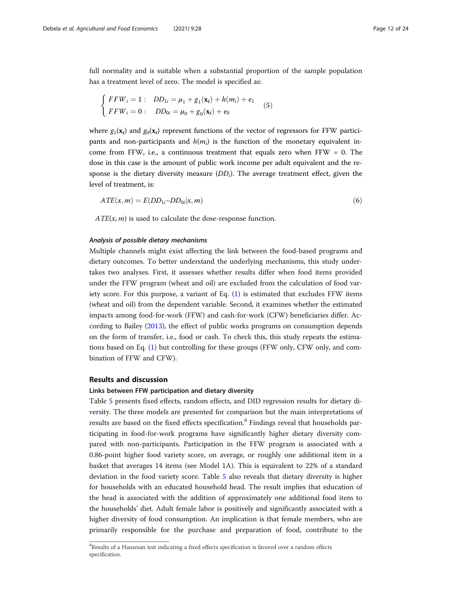full normality and is suitable when a substantial proportion of the sample population has a treatment level of zero. The model is specified as:

$$
\begin{cases}\nFFW_i = 1: DD_{1i} = \mu_1 + g_1(\mathbf{x}_i) + h(m_i) + e_1 \\
FFW_i = 0: DD_{0i} = \mu_0 + g_0(\mathbf{x}_i) + e_0\n\end{cases} (5)
$$

where  $g_1(\mathbf{x}_i)$  and  $g_0(\mathbf{x}_i)$  represent functions of the vector of regressors for FFW participants and non-participants and  $h(m_i)$  is the function of the monetary equivalent income from FFW, i.e., a continuous treatment that equals zero when FFW =  $0$ . The dose in this case is the amount of public work income per adult equivalent and the response is the dietary diversity measure  $(DD_i)$ . The average treatment effect, given the level of treatment, is:

$$
ATE(x, m) = E(DD_{1i} - DD_{0i}|x, m)
$$
\n<sup>(6)</sup>

 $ATE(x, m)$  is used to calculate the dose-response function.

#### Analysis of possible dietary mechanisms

Multiple channels might exist affecting the link between the food-based programs and dietary outcomes. To better understand the underlying mechanisms, this study undertakes two analyses. First, it assesses whether results differ when food items provided under the FFW program (wheat and oil) are excluded from the calculation of food variety score. For this purpose, a variant of Eq. ([1\)](#page-7-0) is estimated that excludes FFW items (wheat and oil) from the dependent variable. Second, it examines whether the estimated impacts among food-for-work (FFW) and cash-for-work (CFW) beneficiaries differ. According to Bailey [\(2013\)](#page-21-0), the effect of public works programs on consumption depends on the form of transfer, i.e., food or cash. To check this, this study repeats the estimations based on Eq. ([1\)](#page-7-0) but controlling for these groups (FFW only, CFW only, and combination of FFW and CFW).

#### Results and discussion

#### Links between FFW participation and dietary diversity

Table [5](#page-12-0) presents fixed effects, random effects, and DID regression results for dietary diversity. The three models are presented for comparison but the main interpretations of results are based on the fixed effects specification.<sup>8</sup> Findings reveal that households participating in food-for-work programs have significantly higher dietary diversity compared with non-participants. Participation in the FFW program is associated with a 0.86-point higher food variety score, on average, or roughly one additional item in a basket that averages 14 items (see Model 1A). This is equivalent to 22% of a standard deviation in the food variety score. Table [5](#page-12-0) also reveals that dietary diversity is higher for households with an educated household head. The result implies that education of the head is associated with the addition of approximately one additional food item to the households' diet. Adult female labor is positively and significantly associated with a higher diversity of food consumption. An implication is that female members, who are primarily responsible for the purchase and preparation of food, contribute to the

<sup>&</sup>lt;sup>8</sup>Results of a Hausman test indicating a fixed effects specification is favored over a random effects specification.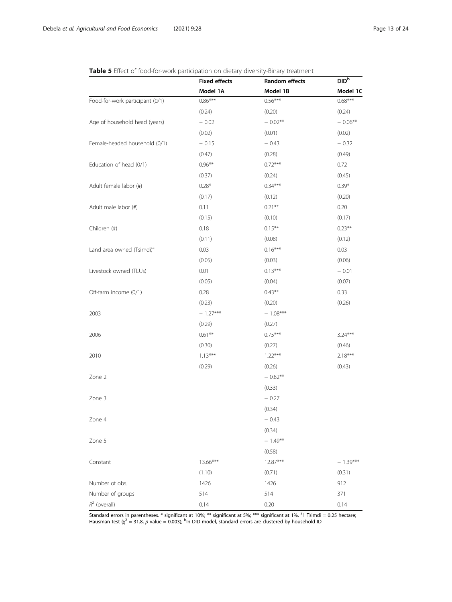|                                       | <b>Fixed effects</b> | Random effects | <b>DID</b> b |
|---------------------------------------|----------------------|----------------|--------------|
|                                       | Model 1A             | Model 1B       | Model 1C     |
| Food-for-work participant (0/1)       | $0.86***$            | $0.56***$      | $0.68***$    |
|                                       | (0.24)               | (0.20)         | (0.24)       |
| Age of household head (years)         | $-0.02$              | $-0.02**$      | $-0.06***$   |
|                                       | (0.02)               | (0.01)         | (0.02)       |
| Female-headed household (0/1)         | $-0.15$              | $-0.43$        | $-0.32$      |
|                                       | (0.47)               | (0.28)         | (0.49)       |
| Education of head (0/1)               | $0.96***$            | $0.72***$      | 0.72         |
|                                       | (0.37)               | (0.24)         | (0.45)       |
| Adult female labor (#)                | $0.28*$              | $0.34***$      | $0.39*$      |
|                                       | (0.17)               | (0.12)         | (0.20)       |
| Adult male labor (#)                  | 0.11                 | $0.21***$      | 0.20         |
|                                       | (0.15)               | (0.10)         | (0.17)       |
| Children (#)                          | 0.18                 | $0.15***$      | $0.23***$    |
|                                       | (0.11)               | (0.08)         | (0.12)       |
| Land area owned (Tsimdi) <sup>a</sup> | 0.03                 | $0.16***$      | 0.03         |
|                                       | (0.05)               | (0.03)         | (0.06)       |
| Livestock owned (TLUs)                | 0.01                 | $0.13***$      | $-0.01$      |
|                                       | (0.05)               | (0.04)         | (0.07)       |
| Off-farm income (0/1)                 | 0.28                 | $0.43***$      | 0.33         |
|                                       | (0.23)               | (0.20)         | (0.26)       |
| 2003                                  | $-1.27***$           | $-1.08***$     |              |
|                                       | (0.29)               | (0.27)         |              |
| 2006                                  | $0.61**$             | $0.75***$      | $3.24***$    |
|                                       | (0.30)               | (0.27)         | (0.46)       |
| 2010                                  | $1.13***$            | $1.22***$      | $2.18***$    |
|                                       | (0.29)               | (0.26)         | (0.43)       |
| Zone 2                                |                      | $-0.82**$      |              |
|                                       |                      | (0.33)         |              |
| Zone 3                                |                      | $-0.27$        |              |
|                                       |                      | (0.34)         |              |
| Zone 4                                |                      | $-0.43$        |              |
|                                       |                      | (0.34)         |              |
| Zone 5                                |                      | $-1.49***$     |              |
|                                       |                      | (0.58)         |              |
| Constant                              | 13.66***             | 12.87***       | $-1.39***$   |
|                                       | (1.10)               | (0.71)         | (0.31)       |
| Number of obs.                        | 1426                 | 1426           | 912          |
| Number of groups                      | 514                  | 514            | 371          |
| $R^2$ (overall)                       | 0.14                 | 0.20           | 0.14         |

<span id="page-12-0"></span>Table 5 Effect of food-for-work participation on dietary diversity-Binary treatment

Standard errors in parentheses. \* significant at 10%; \*\* significant at 5%; \*\*\* significant at 1%. <sup>a</sup>1 Tsimdi = 0.25 hectare Hausman test ( $\chi^2$  = 31.8, p-value = 0.003); <sup>b</sup>ln DID model, standard errors are clustered by household ID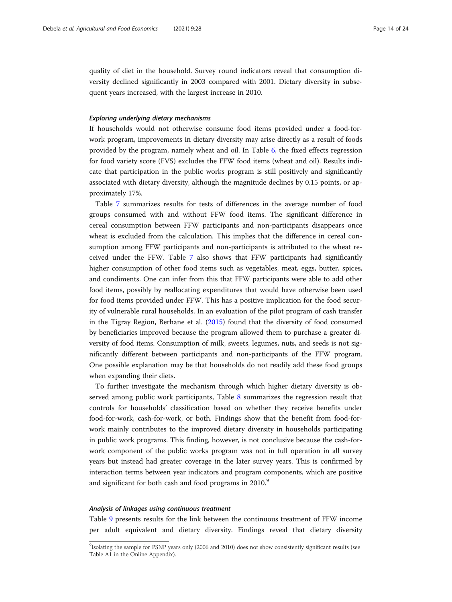quality of diet in the household. Survey round indicators reveal that consumption diversity declined significantly in 2003 compared with 2001. Dietary diversity in subsequent years increased, with the largest increase in 2010.

#### Exploring underlying dietary mechanisms

If households would not otherwise consume food items provided under a food-forwork program, improvements in dietary diversity may arise directly as a result of foods provided by the program, namely wheat and oil. In Table [6,](#page-14-0) the fixed effects regression for food variety score (FVS) excludes the FFW food items (wheat and oil). Results indicate that participation in the public works program is still positively and significantly associated with dietary diversity, although the magnitude declines by 0.15 points, or approximately 17%.

Table [7](#page-14-0) summarizes results for tests of differences in the average number of food groups consumed with and without FFW food items. The significant difference in cereal consumption between FFW participants and non-participants disappears once wheat is excluded from the calculation. This implies that the difference in cereal consumption among FFW participants and non-participants is attributed to the wheat received under the FFW. Table [7](#page-14-0) also shows that FFW participants had significantly higher consumption of other food items such as vegetables, meat, eggs, butter, spices, and condiments. One can infer from this that FFW participants were able to add other food items, possibly by reallocating expenditures that would have otherwise been used for food items provided under FFW. This has a positive implication for the food security of vulnerable rural households. In an evaluation of the pilot program of cash transfer in the Tigray Region, Berhane et al. ([2015\)](#page-21-0) found that the diversity of food consumed by beneficiaries improved because the program allowed them to purchase a greater diversity of food items. Consumption of milk, sweets, legumes, nuts, and seeds is not significantly different between participants and non-participants of the FFW program. One possible explanation may be that households do not readily add these food groups when expanding their diets.

To further investigate the mechanism through which higher dietary diversity is observed among public work participants, Table [8](#page-15-0) summarizes the regression result that controls for households' classification based on whether they receive benefits under food-for-work, cash-for-work, or both. Findings show that the benefit from food-forwork mainly contributes to the improved dietary diversity in households participating in public work programs. This finding, however, is not conclusive because the cash-forwork component of the public works program was not in full operation in all survey years but instead had greater coverage in the later survey years. This is confirmed by interaction terms between year indicators and program components, which are positive and significant for both cash and food programs in 2010.<sup>9</sup>

#### Analysis of linkages using continuous treatment

Table [9](#page-16-0) presents results for the link between the continuous treatment of FFW income per adult equivalent and dietary diversity. Findings reveal that dietary diversity

<sup>&</sup>lt;sup>9</sup>Isolating the sample for PSNP years only (2006 and 2010) does not show consistently significant results (see Table A1 in the Online Appendix).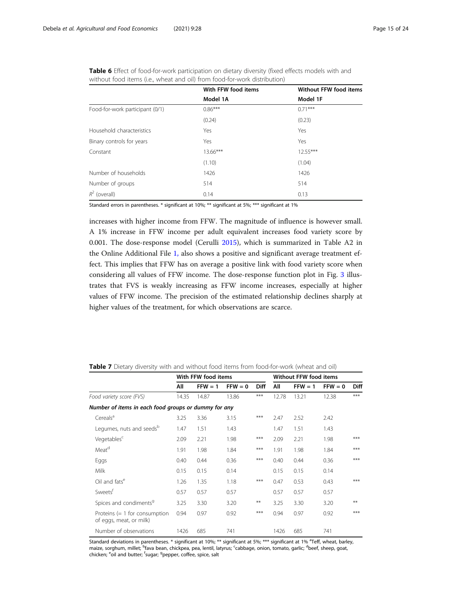|                                 | With FFW food items | <b>Without FFW food items</b> |
|---------------------------------|---------------------|-------------------------------|
|                                 | Model 1A            | Model 1F                      |
| Food-for-work participant (0/1) | $0.86***$           | $0.71***$                     |
|                                 | (0.24)              | (0.23)                        |
| Household characteristics       | Yes                 | Yes                           |
| Binary controls for years       | Yes                 | Yes                           |
| Constant                        | $13.66***$          | $12.55***$                    |
|                                 | (1.10)              | (1.04)                        |
| Number of households            | 1426                | 1426                          |
| Number of groups                | 514                 | 514                           |
| $R^2$ (overall)                 | 0.14                | 0.13                          |

<span id="page-14-0"></span>

|  | Table 6 Effect of food-for-work participation on dietary diversity (fixed effects models with and |  |  |  |  |  |
|--|---------------------------------------------------------------------------------------------------|--|--|--|--|--|
|  | without food items (i.e., wheat and oil) from food-for-work distribution)                         |  |  |  |  |  |

Standard errors in parentheses. \* significant at 10%; \*\* significant at 5%; \*\*\* significant at 1%

increases with higher income from FFW. The magnitude of influence is however small. A 1% increase in FFW income per adult equivalent increases food variety score by 0.001. The dose-response model (Cerulli [2015](#page-21-0)), which is summarized in Table A2 in the Online Additional File [1,](#page-20-0) also shows a positive and significant average treatment effect. This implies that FFW has on average a positive link with food variety score when considering all values of FFW income. The dose-response function plot in Fig. [3](#page-17-0) illustrates that FVS is weakly increasing as FFW income increases, especially at higher values of FFW income. The precision of the estimated relationship declines sharply at higher values of the treatment, for which observations are scarce.

|                                                            |       | With FFW food items |           | <b>Without FFW food items</b> |       |           |           |             |
|------------------------------------------------------------|-------|---------------------|-----------|-------------------------------|-------|-----------|-----------|-------------|
|                                                            | All   | $FFW = 1$           | $FFW = 0$ | <b>Diff</b>                   | All   | $FFW = 1$ | $FFW = 0$ | <b>Diff</b> |
| Food variety score (FVS)                                   | 14.35 | 14.87               | 13.86     | ***                           | 12.78 | 13.21     | 12.38     | $***$       |
| Number of items in each food groups or dummy for any       |       |                     |           |                               |       |           |           |             |
| Cereals <sup>a</sup>                                       | 3.25  | 3.36                | 3.15      | ***                           | 2.47  | 2.52      | 2.42      |             |
| Legumes, nuts and seeds <sup>b</sup>                       | 1.47  | 1.51                | 1.43      |                               | 1.47  | 1.51      | 1.43      |             |
| Vegetables <sup>c</sup>                                    | 2.09  | 2.21                | 1.98      | ***                           | 2.09  | 2.21      | 1.98      | ***         |
| Meat <sup>d</sup>                                          | 1.91  | 1.98                | 1.84      | ***                           | 1.91  | 1.98      | 1.84      | ***         |
| Eggs                                                       | 0.40  | 0.44                | 0.36      | ***                           | 0.40  | 0.44      | 0.36      | ***         |
| Milk                                                       | 0.15  | 0.15                | 0.14      |                               | 0.15  | 0.15      | 0.14      |             |
| Oil and fats <sup>e</sup>                                  | 1.26  | 1.35                | 1.18      | ***                           | 0.47  | 0.53      | 0.43      | ***         |
| Sweets <sup>t</sup>                                        | 0.57  | 0.57                | 0.57      |                               | 0.57  | 0.57      | 0.57      |             |
| Spices and condiments <sup>9</sup>                         | 3.25  | 3.30                | 3.20      | **                            | 3.25  | 3.30      | 3.20      | **          |
| Proteins $(= 1$ for consumption<br>of eggs, meat, or milk) | 0.94  | 0.97                | 0.92      | ***                           | 0.94  | 0.97      | 0.92      | ***         |
| Number of observations                                     | 1426  | 685                 | 741       |                               | 1426  | 685       | 741       |             |

Table 7 Dietary diversity with and without food items from food-for-work (wheat and oil)

Standard deviations in parentheses. \* significant at 10%; \*\* significant at 5%; \*\*\* significant at 1% <sup>a</sup>Teff, wheat, barley, maize, sorghum, millet; <sup>b</sup>fava bean, chickpea, pea, lentil, latyrus; <sup>c</sup>cabbage, onion, tomato, garlic; <sup>d</sup>beef, sheep, goat, chicken; <sup>e</sup>oil and butter; <sup>f</sup>sugar; <sup>g</sup>pepper, coffee, spice, salt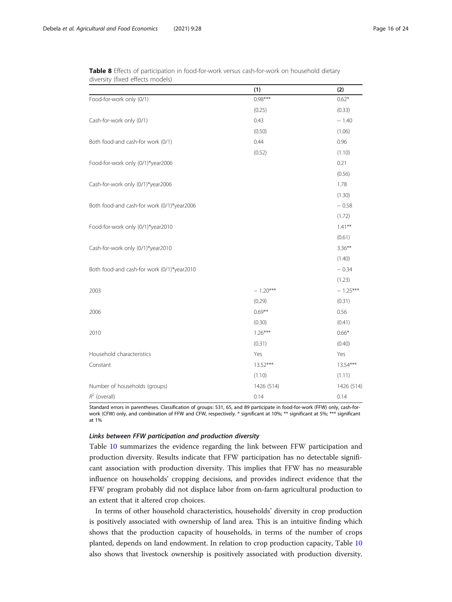|                                            | (1)        | (2)        |
|--------------------------------------------|------------|------------|
| Food-for-work only (0/1)                   | $0.98***$  | $0.62*$    |
|                                            | (0.25)     | (0.33)     |
| Cash-for-work only (0/1)                   | 0.43       | $-1.40$    |
|                                            | (0.50)     | (1.06)     |
| Both food-and cash-for work (0/1)          | 0.44       | 0.96       |
|                                            | (0.52)     | (1.10)     |
| Food-for-work only (0/1)*year2006          |            | 0.21       |
|                                            |            | (0.56)     |
| Cash-for-work only (0/1)*year2006          |            | 1.78       |
|                                            |            | (1.30)     |
| Both food-and cash-for work (0/1)*year2006 |            | $-0.58$    |
|                                            |            | (1.72)     |
| Food-for-work only (0/1)*year2010          |            | $1.41***$  |
|                                            |            | (0.61)     |
| Cash-for-work only (0/1)*year2010          |            | $3.36**$   |
|                                            |            | (1.40)     |
| Both food-and cash-for work (0/1)*year2010 |            | $-0.34$    |
|                                            |            | (1.23)     |
| 2003                                       | $-1.20***$ | $-1.25***$ |
|                                            | (0.29)     | (0.31)     |
| 2006                                       | $0.69**$   | 0.56       |
|                                            | (0.30)     | (0.41)     |
| 2010                                       | $1.26***$  | $0.66*$    |
|                                            | (0.31)     | (0.40)     |
| Household characteristics                  | Yes        | Yes        |
| Constant                                   | 13.52***   | 13.54***   |
|                                            | (1.10)     | (1.11)     |
| Number of households (groups)              | 1426 (514) | 1426 (514) |
| $R^2$ (overall)                            | 0.14       | 0.14       |

<span id="page-15-0"></span>Table 8 Effects of participation in food-for-work versus cash-for-work on household dietary diversity (fixed effects models)

Standard errors in parentheses. Classification of groups: 531, 65, and 89 participate in food-for-work (FFW) only, cash-forwork (CFW) only, and combination of FFW and CFW, respectively. \* significant at 10%; \*\* significant at 5%; \*\*\* significant at 1%

#### Links between FFW participation and production diversity

Table [10](#page-18-0) summarizes the evidence regarding the link between FFW participation and production diversity. Results indicate that FFW participation has no detectable significant association with production diversity. This implies that FFW has no measurable influence on households' cropping decisions, and provides indirect evidence that the FFW program probably did not displace labor from on-farm agricultural production to an extent that it altered crop choices.

In terms of other household characteristics, households' diversity in crop production is positively associated with ownership of land area. This is an intuitive finding which shows that the production capacity of households, in terms of the number of crops planted, depends on land endowment. In relation to crop production capacity, Table [10](#page-18-0) also shows that livestock ownership is positively associated with production diversity.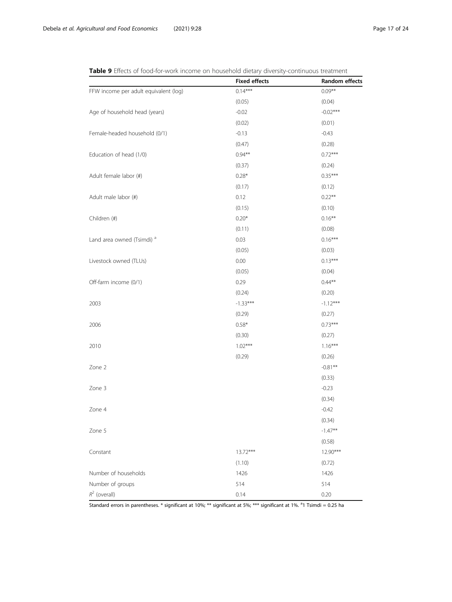<span id="page-16-0"></span>

| Table 9 Effects of food-for-work income on household dietary diversity-continuous treatment |  |
|---------------------------------------------------------------------------------------------|--|
|---------------------------------------------------------------------------------------------|--|

|                                       | <b>Fixed effects</b> | Random effects |
|---------------------------------------|----------------------|----------------|
| FFW income per adult equivalent (log) | $0.14***$            | $0.09**$       |
|                                       | (0.05)               | (0.04)         |
| Age of household head (years)         | $-0.02$              | $-0.02***$     |
|                                       | (0.02)               | (0.01)         |
| Female-headed household (0/1)         | $-0.13$              | $-0.43$        |
|                                       | (0.47)               | (0.28)         |
| Education of head (1/0)               | $0.94**$             | $0.72***$      |
|                                       | (0.37)               | (0.24)         |
| Adult female labor (#)                | $0.28*$              | $0.35***$      |
|                                       | (0.17)               | (0.12)         |
| Adult male labor (#)                  | 0.12                 | $0.22***$      |
|                                       | (0.15)               | (0.10)         |
| Children (#)                          | $0.20*$              | $0.16***$      |
|                                       | (0.11)               | (0.08)         |
| Land area owned (Tsimdi) <sup>a</sup> | 0.03                 | $0.16***$      |
|                                       | (0.05)               | (0.03)         |
| Livestock owned (TLUs)                | 0.00                 | $0.13***$      |
|                                       | (0.05)               | (0.04)         |
| Off-farm income (0/1)                 | 0.29                 | $0.44**$       |
|                                       | (0.24)               | (0.20)         |
| 2003                                  | $-1.33***$           | $-1.12***$     |
|                                       | (0.29)               | (0.27)         |
| 2006                                  | $0.58*$              | $0.73***$      |
|                                       | (0.30)               | (0.27)         |
| 2010                                  | $1.02***$            | $1.16***$      |
|                                       | (0.29)               | (0.26)         |
| Zone 2                                |                      | $-0.81**$      |
|                                       |                      | (0.33)         |
| Zone 3                                |                      | $-0.23$        |
|                                       |                      | (0.34)         |
| Zone 4                                |                      | $-0.42$        |
|                                       |                      | (0.34)         |
| Zone 5                                |                      | $-1.47**$      |
|                                       |                      | (0.58)         |
| Constant                              | $13.72***$           | 12.90***       |
|                                       | (1.10)               | (0.72)         |
| Number of households                  | 1426                 | 1426           |
| Number of groups                      | 514                  | 514            |
| $R^2$ (overall)                       | 0.14                 | 0.20           |

Standard errors in parentheses. \* significant at 10%; \*\* significant at 5%; \*\*\* significant at 1%. <sup>a</sup>1 Tsimdi = 0.25 ha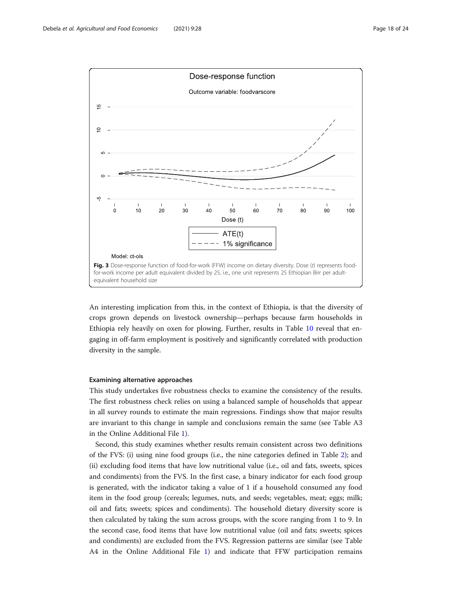<span id="page-17-0"></span>

An interesting implication from this, in the context of Ethiopia, is that the diversity of crops grown depends on livestock ownership—perhaps because farm households in Ethiopia rely heavily on oxen for plowing. Further, results in Table [10](#page-18-0) reveal that engaging in off-farm employment is positively and significantly correlated with production diversity in the sample.

#### Examining alternative approaches

This study undertakes five robustness checks to examine the consistency of the results. The first robustness check relies on using a balanced sample of households that appear in all survey rounds to estimate the main regressions. Findings show that major results are invariant to this change in sample and conclusions remain the same (see Table A3 in the Online Additional File [1\)](#page-20-0).

Second, this study examines whether results remain consistent across two definitions of the FVS: (i) using nine food groups (i.e., the nine categories defined in Table [2](#page-7-0)); and (ii) excluding food items that have low nutritional value (i.e., oil and fats, sweets, spices and condiments) from the FVS. In the first case, a binary indicator for each food group is generated, with the indicator taking a value of 1 if a household consumed any food item in the food group (cereals; legumes, nuts, and seeds; vegetables, meat; eggs; milk; oil and fats; sweets; spices and condiments). The household dietary diversity score is then calculated by taking the sum across groups, with the score ranging from 1 to 9. In the second case, food items that have low nutritional value (oil and fats; sweets; spices and condiments) are excluded from the FVS. Regression patterns are similar (see Table A4 in the Online Additional File [1\)](#page-20-0) and indicate that FFW participation remains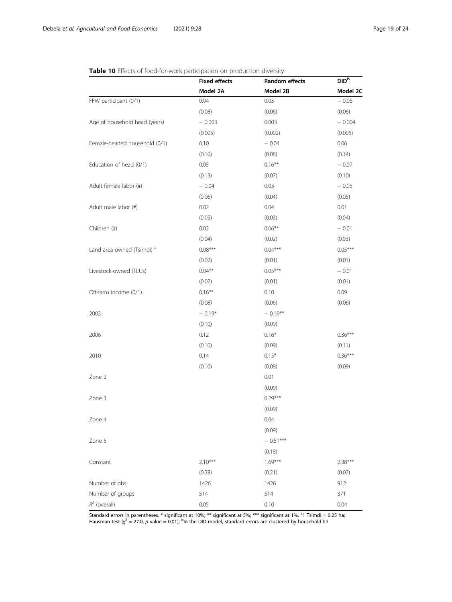|                                       | <b>Fixed effects</b><br>Model 2A | Random effects<br>Model 2B | DID <sup>b</sup><br>Model 2C |
|---------------------------------------|----------------------------------|----------------------------|------------------------------|
|                                       |                                  |                            |                              |
| FFW participant (0/1)                 | 0.04                             | 0.05                       | $-0.06$                      |
|                                       | (0.08)                           | (0.06)                     | (0.06)                       |
| Age of household head (years)         | $-0.003$                         | 0.003                      | $-0.004$                     |
|                                       | (0.005)                          | (0.002)                    | (0.005)                      |
| Female-headed household (0/1)         | 0.10                             | $-0.04$                    | 0.06                         |
|                                       | (0.16)                           | (0.08)                     | (0.14)                       |
| Education of head (0/1)               | 0.05                             | $0.16***$                  | $-0.07$                      |
|                                       | (0.13)                           | (0.07)                     | (0.10)                       |
| Adult female labor (#)                | $-0.04$                          | 0.03                       | $-0.05$                      |
|                                       | (0.06)                           | (0.04)                     | (0.05)                       |
| Adult male labor (#)                  | 0.02                             | 0.04                       | 0.01                         |
|                                       | (0.05)                           | (0.03)                     | (0.04)                       |
| Children (#)                          | 0.02                             | $0.06***$                  | $-0.01$                      |
|                                       | (0.04)                           | (0.02)                     | (0.03)                       |
| Land area owned (Tsimdi) <sup>a</sup> | $0.08***$                        | $0.04***$                  | $0.05***$                    |
|                                       | (0.02)                           | (0.01)                     | (0.01)                       |
| Livestock owned (TLUs)                | $0.04***$                        | $0.05***$                  | $-0.01$                      |
|                                       | (0.02)                           | (0.01)                     | (0.01)                       |
| Off-farm income (0/1)                 | $0.16***$                        | 0.10                       | 0.09                         |
|                                       | (0.08)                           | (0.06)                     | (0.06)                       |
| 2003                                  | $-0.19*$                         | $-0.19***$                 |                              |
|                                       | (0.10)                           | (0.09)                     |                              |
| 2006                                  | 0.12                             | $0.16*$                    | $0.36***$                    |
|                                       | (0.10)                           | (0.09)                     | (0.11)                       |
| 2010                                  | 0.14                             | $0.15*$                    | $0.36***$                    |
|                                       | (0.10)                           | (0.09)                     | (0.09)                       |
| Zone 2                                |                                  | 0.01                       |                              |
|                                       |                                  | (0.09)                     |                              |
| Zone 3                                |                                  | $0.29***$                  |                              |
|                                       |                                  | (0.09)                     |                              |
| Zone 4                                |                                  | 0.04                       |                              |
|                                       |                                  | (0.09)                     |                              |
| Zone 5                                |                                  | $-0.51***$                 |                              |
|                                       |                                  | (0.18)                     |                              |
| Constant                              | $2.10***$                        | $1.69***$                  | $2.38***$                    |
|                                       | (0.38)                           | (0.21)                     | (0.07)                       |
| Number of obs.                        | 1426                             | 1426                       | 912                          |
| Number of groups                      | 514                              | 514                        | 371                          |
| $R^2$ (overall)                       | 0.05                             | 0.10                       | 0.04                         |

### <span id="page-18-0"></span>Table 10 Effects of food-for-work participation on production diversity

Standard errors in parentheses. \* significant at 10%; \*\* significant at 5%; \*\*\* significant at 1%. <sup>a</sup>1 Tsimdi = 0.25 ha; Hausman test ( $\chi^2$  = 27.0, p-value = 0.01); <sup>b</sup>ln the DID model, standard errors are clustered by household ID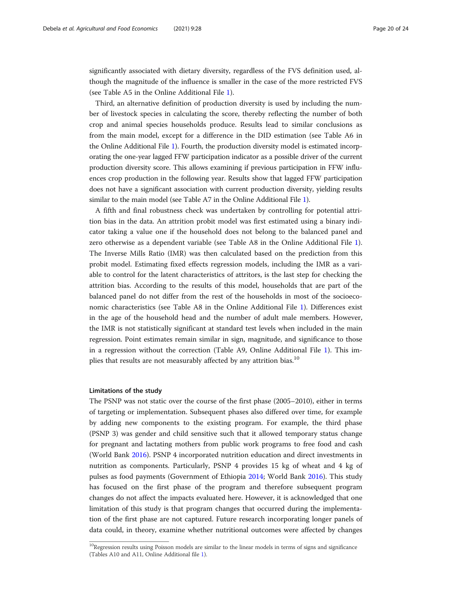significantly associated with dietary diversity, regardless of the FVS definition used, although the magnitude of the influence is smaller in the case of the more restricted FVS (see Table A5 in the Online Additional File [1](#page-20-0)).

Third, an alternative definition of production diversity is used by including the number of livestock species in calculating the score, thereby reflecting the number of both crop and animal species households produce. Results lead to similar conclusions as from the main model, except for a difference in the DID estimation (see Table A6 in the Online Additional File [1\)](#page-20-0). Fourth, the production diversity model is estimated incorporating the one-year lagged FFW participation indicator as a possible driver of the current production diversity score. This allows examining if previous participation in FFW influences crop production in the following year. Results show that lagged FFW participation does not have a significant association with current production diversity, yielding results similar to the main model (see Table A7 in the Online Additional File [1\)](#page-20-0).

A fifth and final robustness check was undertaken by controlling for potential attrition bias in the data. An attrition probit model was first estimated using a binary indicator taking a value one if the household does not belong to the balanced panel and zero otherwise as a dependent variable (see Table A8 in the Online Additional File [1](#page-20-0)). The Inverse Mills Ratio (IMR) was then calculated based on the prediction from this probit model. Estimating fixed effects regression models, including the IMR as a variable to control for the latent characteristics of attritors, is the last step for checking the attrition bias. According to the results of this model, households that are part of the balanced panel do not differ from the rest of the households in most of the socioeconomic characteristics (see Table A8 in the Online Additional File [1](#page-20-0)). Differences exist in the age of the household head and the number of adult male members. However, the IMR is not statistically significant at standard test levels when included in the main regression. Point estimates remain similar in sign, magnitude, and significance to those in a regression without the correction (Table A9, Online Additional File [1\)](#page-20-0). This implies that results are not measurably affected by any attrition bias.<sup>10</sup>

#### Limitations of the study

The PSNP was not static over the course of the first phase (2005–2010), either in terms of targeting or implementation. Subsequent phases also differed over time, for example by adding new components to the existing program. For example, the third phase (PSNP 3) was gender and child sensitive such that it allowed temporary status change for pregnant and lactating mothers from public work programs to free food and cash (World Bank [2016](#page-23-0)). PSNP 4 incorporated nutrition education and direct investments in nutrition as components. Particularly, PSNP 4 provides 15 kg of wheat and 4 kg of pulses as food payments (Government of Ethiopia [2014](#page-22-0); World Bank [2016\)](#page-23-0). This study has focused on the first phase of the program and therefore subsequent program changes do not affect the impacts evaluated here. However, it is acknowledged that one limitation of this study is that program changes that occurred during the implementation of the first phase are not captured. Future research incorporating longer panels of data could, in theory, examine whether nutritional outcomes were affected by changes

 $10$ Regression results using Poisson models are similar to the linear models in terms of signs and significance (Tables A10 and A11, Online Additional file [1\)](#page-20-0).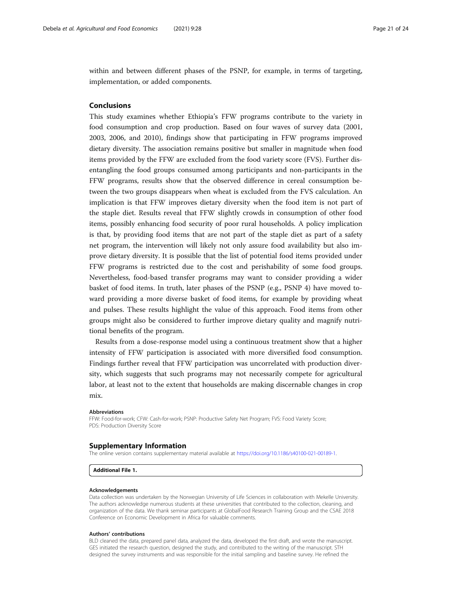<span id="page-20-0"></span>within and between different phases of the PSNP, for example, in terms of targeting, implementation, or added components.

#### Conclusions

This study examines whether Ethiopia's FFW programs contribute to the variety in food consumption and crop production. Based on four waves of survey data (2001, 2003, 2006, and 2010), findings show that participating in FFW programs improved dietary diversity. The association remains positive but smaller in magnitude when food items provided by the FFW are excluded from the food variety score (FVS). Further disentangling the food groups consumed among participants and non-participants in the FFW programs, results show that the observed difference in cereal consumption between the two groups disappears when wheat is excluded from the FVS calculation. An implication is that FFW improves dietary diversity when the food item is not part of the staple diet. Results reveal that FFW slightly crowds in consumption of other food items, possibly enhancing food security of poor rural households. A policy implication is that, by providing food items that are not part of the staple diet as part of a safety net program, the intervention will likely not only assure food availability but also improve dietary diversity. It is possible that the list of potential food items provided under FFW programs is restricted due to the cost and perishability of some food groups. Nevertheless, food-based transfer programs may want to consider providing a wider basket of food items. In truth, later phases of the PSNP (e.g., PSNP 4) have moved toward providing a more diverse basket of food items, for example by providing wheat and pulses. These results highlight the value of this approach. Food items from other groups might also be considered to further improve dietary quality and magnify nutritional benefits of the program.

Results from a dose-response model using a continuous treatment show that a higher intensity of FFW participation is associated with more diversified food consumption. Findings further reveal that FFW participation was uncorrelated with production diversity, which suggests that such programs may not necessarily compete for agricultural labor, at least not to the extent that households are making discernable changes in crop mix.

#### Abbreviations

FFW: Food-for-work; CFW: Cash-for-work; PSNP: Productive Safety Net Program; FVS: Food Variety Score; PDS: Production Diversity Score

#### Supplementary Information

The online version contains supplementary material available at [https://doi.org/10.1186/s40100-021-00189-1.](https://doi.org/10.1186/s40100-021-00189-1)

#### Additional File 1.

#### Acknowledgements

Data collection was undertaken by the Norwegian University of Life Sciences in collaboration with Mekelle University. The authors acknowledge numerous students at these universities that contributed to the collection, cleaning, and organization of the data. We thank seminar participants at GlobalFood Research Training Group and the CSAE 2018 Conference on Economic Development in Africa for valuable comments.

#### Authors' contributions

BLD cleaned the data, prepared panel data, analyzed the data, developed the first draft, and wrote the manuscript. GES initiated the research question, designed the study, and contributed to the writing of the manuscript. STH designed the survey instruments and was responsible for the initial sampling and baseline survey. He refined the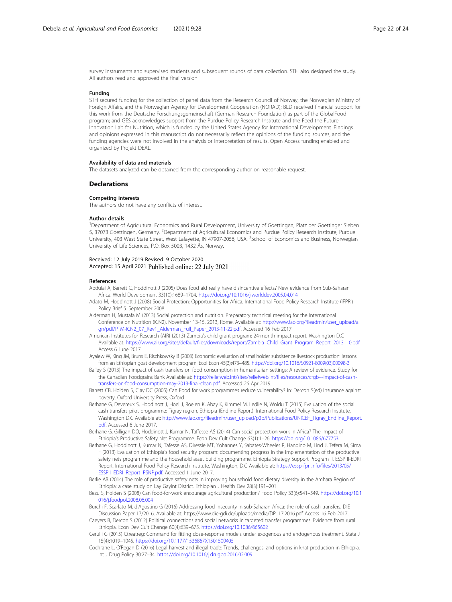<span id="page-21-0"></span>survey instruments and supervised students and subsequent rounds of data collection. STH also designed the study. All authors read and approved the final version.

#### Funding

STH secured funding for the collection of panel data from the Research Council of Norway, the Norwegian Ministry of Foreign Affairs, and the Norwegian Agency for Development Cooperation (NORAD); BLD received financial support for this work from the Deutsche Forschungsgemeinschaft (German Research Foundation) as part of the GlobalFood program; and GES acknowledges support from the Purdue Policy Research Institute and the Feed the Future Innovation Lab for Nutrition, which is funded by the United States Agency for International Development. Findings and opinions expressed in this manuscript do not necessarily reflect the opinions of the funding sources, and the funding agencies were not involved in the analysis or interpretation of results. Open Access funding enabled and organized by Projekt DEAL.

#### Availability of data and materials

The datasets analyzed can be obtained from the corresponding author on reasonable request.

#### **Declarations**

#### Competing interests

The authors do not have any conflicts of interest.

#### Author details

1 Department of Agricultural Economics and Rural Development, University of Goettingen, Platz der Goettinger Sieben 5, 37073 Goettingen, Germany. <sup>2</sup>Department of Agricultural Economics and Purdue Policy Research Institute, Purdue University, 403 West State Street, West Lafayette, IN 47907-2056, USA. <sup>3</sup>School of Economics and Business, Norwegian University of Life Sciences, P.O. Box 5003, 1432 Ås, Norway.

#### Received: 12 July 2019 Revised: 9 October 2020 Accepted: 15 April 2021 Published online: 22 July 2021

#### References

- Abdulai A, Barrett C, Hoddinott J (2005) Does food aid really have disincentive effects? New evidence from Sub-Saharan Africa. World Development 33(10):1689–1704. <https://doi.org/10.1016/j.worlddev.2005.04.014>
- Adato M, Hoddinott J (2008) Social Protection: Opportunities for Africa. International Food Policy Research Institute (IFPRI) Policy Brief 5. September 2008.
- Alderman H, Mustafa M (2013) Social protection and nutrition. Preparatory technical meeting for the International Conference on Nutrition (ICN2), November 13-15, 2013, Rome. Available at: [http://www.fao.org/fileadmin/user\\_upload/a](http://www.fao.org/fileadmin/user_upload/agn/pdf/PTM-ICN2_07_Rev1_Alderman_Full_Paper_2013-11-22.pdf) [gn/pdf/PTM-ICN2\\_07\\_Rev1\\_Alderman\\_Full\\_Paper\\_2013-11-22.pdf](http://www.fao.org/fileadmin/user_upload/agn/pdf/PTM-ICN2_07_Rev1_Alderman_Full_Paper_2013-11-22.pdf). Accessed 16 Feb 2017.
- American Institutes for Research (AIR) (2013) Zambia's child grant program: 24-month impact report, Washington D.C Available at: [https://www.air.org/sites/default/files/downloads/report/Zambia\\_Child\\_Grant\\_Program\\_Report\\_20131\\_0.pdf](https://www.air.org/sites/default/files/downloads/report/Zambia_Child_Grant_Program_Report_20131_0.pdf) Access 6 June 2017
- Ayalew W, King JM, Bruns E, Rischkowsky B (2003) Economic evaluation of smallholder subsistence livestock production: lessons from an Ethiopian goat development program. Ecol Econ 45(3):473–485. [https://doi.org/10.1016/S0921-8009\(03\)00098-3](https://doi.org/10.1016/S0921-8009(03)00098-3)
- Bailey S (2013) The impact of cash transfers on food consumption in humanitarian settings: A review of evidence. Study for the Canadian Foodgrains Bank Available at: [https://reliefweb.int/sites/reliefweb.int/files/resources/cfgb---impact-of-cash](https://reliefweb.int/sites/reliefweb.int/files/resources/cfgb---impact-of-cash-transfers-on-food-consumption-may-2013-final-clean.pdf)[transfers-on-food-consumption-may-2013-final-clean.pdf.](https://reliefweb.int/sites/reliefweb.int/files/resources/cfgb---impact-of-cash-transfers-on-food-consumption-may-2013-final-clean.pdf) Accessed 26 Apr 2019.
- Barrett CB, Holden S, Clay DC (2005) Can Food for work programmes reduce vulnerability? In: Dercon S(ed) Insurance against poverty. Oxford University Press, Oxford
- Berhane G, Devereux S, Hoddinott J, Hoel J, Roelen K, Abay K, Kimmel M, Ledlie N, Woldu T (2015) Evaluation of the social cash transfers pilot programme: Tigray region, Ethiopia (Endline Report). International Food Policy Research Institute, Washington D.C Available at: [http://www.fao.org/fileadmin/user\\_upload/p2p/Publications/UNICEF\\_Tigray\\_Endline\\_Report.](http://www.fao.org/fileadmin/user_upload/p2p/Publications/UNICEF_Tigray_Endline_Report.pdf) [pdf](http://www.fao.org/fileadmin/user_upload/p2p/Publications/UNICEF_Tigray_Endline_Report.pdf). Accessed 6 June 2017.
- Berhane G, Gilligan DO, Hoddinott J, Kumar N, Taffesse AS (2014) Can social protection work in Africa? The Impact of Ethiopia's Productive Safety Net Programme. Econ Dev Cult Change 63(1):1–26. <https://doi.org/10.1086/677753>
- Berhane G, Hoddinott J, Kumar N, Tafesse AS, Diressie MT, Yohannes Y, Sabates-Wheeler R, Handino M, Lind J, Tefera M, Sima F (2013) Evaluation of Ethiopia's food security program: documenting progress in the implementation of the productive safety nets programme and the household asset building programme. Ethiopia Strategy Support Program II, ESSP II-EDRI Report, International Food Policy Research Institute, Washington, D.C Available at: [https://essp.ifpri.info/files/2013/05/](https://essp.ifpri.info/files/2013/05/ESSPII_EDRI_Report_PSNP.pdf) [ESSPII\\_EDRI\\_Report\\_PSNP.pdf](https://essp.ifpri.info/files/2013/05/ESSPII_EDRI_Report_PSNP.pdf). Accessed 1 June 2017.
- Berlie AB (2014) The role of productive safety nets in improving household food dietary diversity in the Amhara Region of Ethiopia: a case study on Lay Gayint District. Ethiopian J Health Dev 28(3):191–201
- Bezu S, Holden S (2008) Can food-for-work encourage agricultural production? Food Policy 33(6):541–549. [https://doi.org/10.1](https://doi.org/10.1016/j.foodpol.2008.06.004) [016/j.foodpol.2008.06.004](https://doi.org/10.1016/j.foodpol.2008.06.004)
- Burchi F, Scarlato M, d'Agostino G (2016) Addressing food insecurity in sub-Saharan Africa: the role of cash transfers. DIE Discussion Paper 17/2016. Available at: https://www.die-gdi.de/uploads/media/DP\_17.2016.pdf Access 16 Feb 2017.
- Caeyers B, Dercon S (2012) Political connections and social networks in targeted transfer programmes: Evidence from rural Ethiopia. Econ Dev Cult Change 60(4):639–675. <https://doi.org/10.1086/665602>
- Cerulli G (2015) Ctreatreg: Command for fitting dose-response models under exogenous and endogenous treatment. Stata J 15(4):1019–1045. <https://doi.org/10.1177/1536867X1501500405>
- Cochrane L, O'Regan D (2016) Legal harvest and illegal trade: Trends, challenges, and options in khat production in Ethiopia. Int J Drug Policy 30:27–34. <https://doi.org/10.1016/j.drugpo.2016.02.009>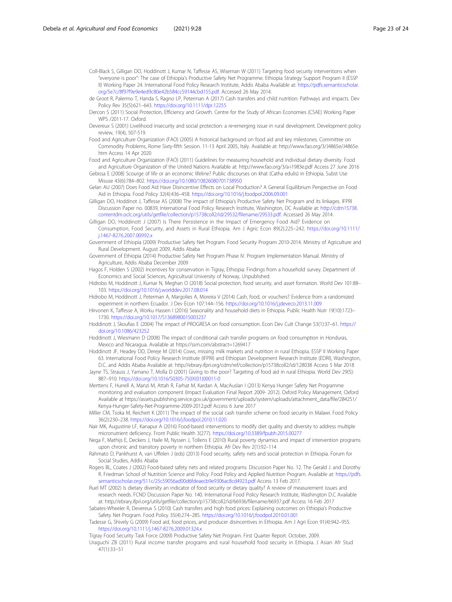<span id="page-22-0"></span>Coll-Black S, Gilligan DO, Hoddinott J, Kumar N, Taffesse AS, Wiseman W (2011) Targeting food security interventions when "everyone is poor": The case of Ethiopia's Productive Safety Net Programme. Ethiopia Strategy Support Program II (ESSP II) Working Paper 24. International Food Policy Research Institute, Addis Ababa Available at: [https://pdfs.semanticscholar.](https://pdfs.semanticscholar.org/5e7c/8f97f9e9e4ed9c80e42b584cc59144cbd155.pdf) [org/5e7c/8f97f9e9e4ed9c80e42b584cc59144cbd155.pdf.](https://pdfs.semanticscholar.org/5e7c/8f97f9e9e4ed9c80e42b584cc59144cbd155.pdf) Accessed 26 May 2014.

de Groot R, Palermo T, Handa S, Ragno LP, Peterman A (2017) Cash transfers and child nutrition: Pathways and impacts. Dev Policy Rev 35(5):621–643. <https://doi.org/10.1111/dpr.12255>

Dercon S (2011) Social Protection, Efficiency and Growth. Centre for the Study of African Economies (CSAE) Working Paper WPS /2011-17. Oxford.

Devereux S (2001) Livelihood insecurity and social protection: a re-emerging issue in rural development. Development policy review, 19(4), 507-519.

Food and Agriculture Organization (FAO) (2005) A historical background on food aid and key milestones. Committee on Commodity Problems, Rome Sixty-fifth Session. 11-13 April 2005, Italy. Available at: http://www.fao.org/3/J4865e/J4865e. htm Access 14 Apr 2020

Food and Agriculture Organization (FAO) (2011) Guidelines for measuring household and individual dietary diversity. Food and Agriculture Organization of the United Nations Available at: http://www.fao.org/3/a-i1983e.pdf Access 27 June 2016

Gebissa E (2008) Scourge of life or an economic lifeline? Public discourses on khat (Catha edulis) in Ethiopia. Subst Use Misuse 43(6):784–802. <https://doi.org/10.1080/10826080701738950>

Gelan AU (2007) Does Food Aid Have Disincentive Effects on Local Production? A General Equilibrium Perspective on Food Aid in Ethiopia. Food Policy 32(4):436–458. <https://doi.org/10.1016/j.foodpol.2006.09.001>

Gilligan DO, Hoddinot J, Taffesse AS (2008) The impact of Ethiopia's Productive Safety Net Program and its linkages. IFPRI Discussion Paper no. 00839, International Food Policy Research Institute, Washington, DC Available at: [http://cdm15738.](https://cdm15738.contentdm.oclc.org/utils/getfile/collection/p15738coll2/id/29532/filename/29533.pdf) [contentdm.oclc.org/utils/getfile/collection/p15738coll2/id/29532/filename/29533.pdf](https://cdm15738.contentdm.oclc.org/utils/getfile/collection/p15738coll2/id/29532/filename/29533.pdf). Accessed 26 May 2014.

Gilligan DO, Hoddinott J (2007) Is There Persistence in the Impact of Emergency Food Aid? Evidence on Consumption, Food Security, and Assets in Rural Ethiopia. Am J Agric Econ 89(2):225–242. [https://doi.org/10.1111/](https://doi.org/10.1111/j.1467-8276.2007.00992.x) [j.1467-8276.2007.00992.x](https://doi.org/10.1111/j.1467-8276.2007.00992.x)

Government of Ethiopia (2009) Productive Safety Net Program. Food Security Program 2010-2014. Ministry of Agriculture and Rural Development. August 2009, Addis Ababa

Government of Ethiopia (2014) Productive Safety Net Program Phase IV. Program Implementation Manual. Ministry of Agriculture, Addis Ababa December 2009

Hagos F, Holden S (2002) Incentives for conservation in Tigray, Ethiopia: Findings from a household survey. Department of Economics and Social Sciences, Agricultural University of Norway, Unpublished.

Hidrobo M, Hoddinott J, Kumar N, Meghan O (2018) Social protection, food security, and asset formation. World Dev 101:88– 103. <https://doi.org/10.1016/j.worlddev.2017.08.014>

Hidrobo M, Hoddinott J, Peterman A, Margolies A, Moreira V (2014) Cash, food, or vouchers? Evidence from a randomized experiment in northern Ecuador. J Dev Econ 107:144–156. <https://doi.org/10.1016/j.jdeveco.2013.11.009>

Hirvonen K, Taffesse A, Worku Hassen I (2016) Seasonality and household diets in Ethiopia. Public Health Nutr 19(10):1723– 1730. <https://doi.org/10.1017/S1368980015003237>

Hoddinott J, Skoufias E (2004) The impact of PROGRESA on food consumption. Econ Dev Cult Change 53(1):37–61. [https://](https://doi.org/10.1086/423252) [doi.org/10.1086/423252](https://doi.org/10.1086/423252)

Hoddinott J, Wiesmann D (2008) The impact of conditional cash transfer programs on food consumption in Honduras, Mexico and Nicaragua. Available at https://ssrn.com/abstract=1269417

Hoddinott JF, Headey DD, Dereje M (2014) Cows, missing milk markets and nutrition in rural Ethiopia. ESSP II Working Paper 63. International Food Policy Research Institute (IFPRI) and Ethiopian Development Research Institute (EDRI), Washington, D.C. and Addis Ababa Available at: http://ebrary.ifpri.org/cdm/ref/collection/p15738coll2/id/128038 Access 5 Mar 2018

Jayne TS, Strauss J, Yamano T, Molla D (2001) Giving to the poor? Targeting of food aid in rural Ethiopia. World Dev 29(5): 887–910. [https://doi.org/10.1016/S0305-750X\(01\)00011-0](https://doi.org/10.1016/S0305-750X(01)00011-0)

Merttens F, Hurrell A, Manzi M, Attah R, Farhat M, Kardan A, MacAuslan I (2013) Kenya Hunger Safety Net Programme monitoring and evaluation component (Impact Evaluation Final Report 2009- 2012). Oxford Policy Management, Oxford Available at https://assets.publishing.service.gov.uk/government/uploads/system/uploads/attachment\_data/file/284251/ Kenya-Hunger-Safety-Net-Programme-2009-2012.pdf Access 6 June 2017

Miller CM, Tsoka M, Reichert K (2011) The impact of the social cash transfer scheme on food security in Malawi. Food Policy 36(2):230–238. <https://doi.org/10.1016/j.foodpol.2010.11.020>

Nair MK, Augustine LF, Kanapur A (2016) Food-based interventions to modify diet quality and diversity to address multiple micronutrient deficiency. Front Public Health 3(277). <https://doi.org/10.3389/fpubh.2015.00277>

Nega F, Mathijs E, Deckers J, Haile M, Nyssen J, Tollens E (2010) Rural poverty dynamics and impact of intervention programs upon chronic and transitory poverty in northern Ethiopia. Afr Dev Rev 2(1):92–114

Rahmato D, Pankhurst A, van Uffelen J (eds) (2013) Food security, safety nets and social protection in Ethiopia. Forum for Social Studies, Addis Ababa

Rogers BL, Coates J (2002) Food-based safety nets and related programs. Discussion Paper No. 12. The Gerald J. and Dorothy R. Friedman School of Nutrition Science and Policy. Food Policy and Applied Nutrition Program. Available at: [https://pdfs.](https://pdfs.semanticscholar.org/511c/25c59056ad00d6fdeaecb9e9306ac8cd4923.pdf) [semanticscholar.org/511c/25c59056ad00d6fdeaecb9e9306ac8cd4923.pdf](https://pdfs.semanticscholar.org/511c/25c59056ad00d6fdeaecb9e9306ac8cd4923.pdf) Access 13 Feb 2017.

Ruel MT (2002) Is dietary diversity an indicator of food security or dietary quality? A review of measurement issues and research needs. FCND Discussion Paper No. 140. International Food Policy Research Institute, Washington D.C Available at: http://ebrary.ifpri.org/utils/getfile/collection/p15738coll2/id/66936/filename/66937.pdf Access 16 Feb 2017

Sabates-Wheeler R, Devereux S (2010) Cash transfers and high food prices: Explaining outcomes on Ethiopia's Productive Safety Net Program. Food Policy 35(4):274–285. <https://doi.org/10.1016/j.foodpol.2010.01.001>

Tadesse G, Shively G (2009) Food aid, food prices, and producer disincentives in Ethiopia. Am J Agri Econ 91(4):942–955. <https://doi.org/10.1111/j.1467-8276.2009.01324.x>

Tigray Food Security Task Force (2009) Productive Safety Net Program. First Quarter Report. October, 2009.

Uraguchi ZB (2011) Rural income transfer programs and rural household food security in Ethiopia. J Asian Afr Stud 47(1):33–51